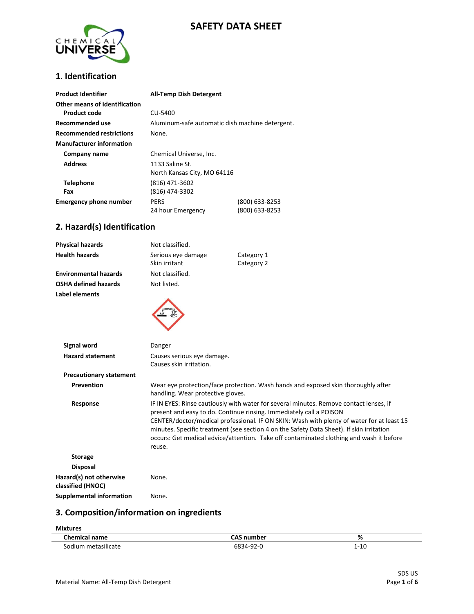## **SAFETY DATA SHEET**



#### **1**. **Identification**

| <b>Product Identifier</b>                            | <b>All-Temp Dish Detergent</b>                  |                                  |
|------------------------------------------------------|-------------------------------------------------|----------------------------------|
| Other means of identification<br><b>Product code</b> | CU-5400                                         |                                  |
| <b>Recommended use</b>                               | Aluminum-safe automatic dish machine detergent. |                                  |
| <b>Recommended restrictions</b>                      | None.                                           |                                  |
| <b>Manufacturer information</b>                      |                                                 |                                  |
| Company name                                         | Chemical Universe, Inc.                         |                                  |
| <b>Address</b>                                       | 1133 Saline St.<br>North Kansas City, MO 64116  |                                  |
| <b>Telephone</b><br>Fax                              | (816) 471-3602<br>(816) 474-3302                |                                  |
| <b>Emergency phone number</b>                        | <b>PERS</b><br>24 hour Emergency                | (800) 633-8253<br>(800) 633-8253 |

#### **2. Hazard(s) Identification**

| <b>Physical hazards</b>                      | Not classified.                                                                                                                                                                                                                                                                                                                                                                                                                                             |                                                                                   |
|----------------------------------------------|-------------------------------------------------------------------------------------------------------------------------------------------------------------------------------------------------------------------------------------------------------------------------------------------------------------------------------------------------------------------------------------------------------------------------------------------------------------|-----------------------------------------------------------------------------------|
| <b>Health hazards</b>                        | Serious eye damage<br>Skin irritant                                                                                                                                                                                                                                                                                                                                                                                                                         | Category 1<br>Category 2                                                          |
| <b>Environmental hazards</b>                 | Not classified.                                                                                                                                                                                                                                                                                                                                                                                                                                             |                                                                                   |
| <b>OSHA defined hazards</b>                  | Not listed.                                                                                                                                                                                                                                                                                                                                                                                                                                                 |                                                                                   |
| Label elements                               |                                                                                                                                                                                                                                                                                                                                                                                                                                                             |                                                                                   |
| <b>Signal word</b>                           | Danger                                                                                                                                                                                                                                                                                                                                                                                                                                                      |                                                                                   |
| <b>Hazard statement</b>                      | Causes serious eye damage.<br>Causes skin irritation.                                                                                                                                                                                                                                                                                                                                                                                                       |                                                                                   |
| <b>Precautionary statement</b>               |                                                                                                                                                                                                                                                                                                                                                                                                                                                             |                                                                                   |
| Prevention                                   | handling. Wear protective gloves.                                                                                                                                                                                                                                                                                                                                                                                                                           | Wear eye protection/face protection. Wash hands and exposed skin thoroughly after |
| Response                                     | IF IN EYES: Rinse cautiously with water for several minutes. Remove contact lenses, if<br>present and easy to do. Continue rinsing. Immediately call a POISON<br>CENTER/doctor/medical professional. IF ON SKIN: Wash with plenty of water for at least 15<br>minutes. Specific treatment (see section 4 on the Safety Data Sheet). If skin irritation<br>occurs: Get medical advice/attention. Take off contaminated clothing and wash it before<br>reuse. |                                                                                   |
| <b>Storage</b>                               |                                                                                                                                                                                                                                                                                                                                                                                                                                                             |                                                                                   |
| <b>Disposal</b>                              |                                                                                                                                                                                                                                                                                                                                                                                                                                                             |                                                                                   |
| Hazard(s) not otherwise<br>classified (HNOC) | None.                                                                                                                                                                                                                                                                                                                                                                                                                                                       |                                                                                   |
| <b>Supplemental information</b>              | None.                                                                                                                                                                                                                                                                                                                                                                                                                                                       |                                                                                   |

#### **3. Composition/information on ingredients**

| <b>Mixtures</b>      |                   |          |
|----------------------|-------------------|----------|
| <b>Chemical name</b> | <b>CAS number</b> | %        |
| Sodium metasilicate  | 6834-92-0         | $1 - 10$ |

T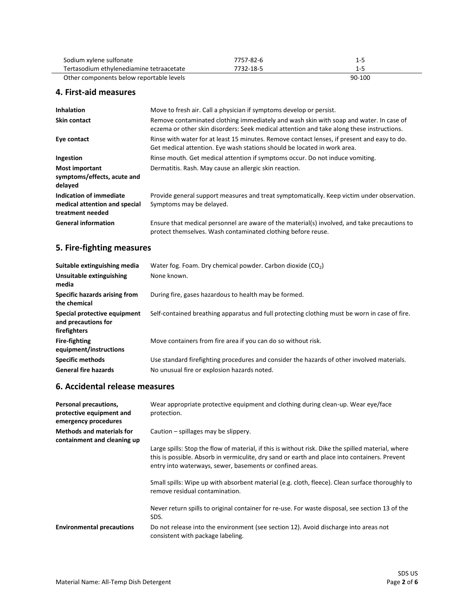| Sodium xylene sulfonate                  | 7757-82-6 | 1-5    |
|------------------------------------------|-----------|--------|
| Tertasodium ethylenediamine tetraacetate | 7732-18-5 | 1-5    |
| Other components below reportable levels |           | 90-100 |

#### **4. First-aid measures**

 $\overline{\phantom{a}}$ 

| <b>Inhalation</b>                                                            | Move to fresh air. Call a physician if symptoms develop or persist.                                                                                                                 |
|------------------------------------------------------------------------------|-------------------------------------------------------------------------------------------------------------------------------------------------------------------------------------|
| <b>Skin contact</b>                                                          | Remove contaminated clothing immediately and wash skin with soap and water. In case of<br>eczema or other skin disorders: Seek medical attention and take along these instructions. |
| Eye contact                                                                  | Rinse with water for at least 15 minutes. Remove contact lenses, if present and easy to do.<br>Get medical attention. Eye wash stations should be located in work area.             |
| Ingestion                                                                    | Rinse mouth. Get medical attention if symptoms occur. Do not induce vomiting.                                                                                                       |
| <b>Most important</b><br>symptoms/effects, acute and<br>delayed              | Dermatitis. Rash. May cause an allergic skin reaction.                                                                                                                              |
| Indication of immediate<br>medical attention and special<br>treatment needed | Provide general support measures and treat symptomatically. Keep victim under observation.<br>Symptoms may be delayed.                                                              |
| <b>General information</b>                                                   | Ensure that medical personnel are aware of the material(s) involved, and take precautions to<br>protect themselves. Wash contaminated clothing before reuse.                        |

#### **5. Fire-fighting measures**

| Suitable extinguishing media                                        | Water fog. Foam. Dry chemical powder. Carbon dioxide $(CO2)$                                  |
|---------------------------------------------------------------------|-----------------------------------------------------------------------------------------------|
| Unsuitable extinguishing<br>media                                   | None known.                                                                                   |
| Specific hazards arising from<br>the chemical                       | During fire, gases hazardous to health may be formed.                                         |
| Special protective equipment<br>and precautions for<br>firefighters | Self-contained breathing apparatus and full protecting clothing must be worn in case of fire. |
| <b>Fire-fighting</b><br>equipment/instructions                      | Move containers from fire area if you can do so without risk.                                 |
| <b>Specific methods</b>                                             | Use standard firefighting procedures and consider the hazards of other involved materials.    |
| <b>General fire hazards</b>                                         | No unusual fire or explosion hazards noted.                                                   |

#### **6. Accidental release measures**

| Personal precautions,<br>protective equipment and<br>emergency procedures | Wear appropriate protective equipment and clothing during clean-up. Wear eye/face<br>protection.                                                                                                                                                                 |
|---------------------------------------------------------------------------|------------------------------------------------------------------------------------------------------------------------------------------------------------------------------------------------------------------------------------------------------------------|
| <b>Methods and materials for</b><br>containment and cleaning up           | Caution – spillages may be slippery.                                                                                                                                                                                                                             |
|                                                                           | Large spills: Stop the flow of material, if this is without risk. Dike the spilled material, where<br>this is possible. Absorb in vermiculite, dry sand or earth and place into containers. Prevent<br>entry into waterways, sewer, basements or confined areas. |
|                                                                           | Small spills: Wipe up with absorbent material (e.g. cloth, fleece). Clean surface thoroughly to<br>remove residual contamination.                                                                                                                                |
|                                                                           | Never return spills to original container for re-use. For waste disposal, see section 13 of the<br>SDS.                                                                                                                                                          |
| <b>Environmental precautions</b>                                          | Do not release into the environment (see section 12). Avoid discharge into areas not<br>consistent with package labeling.                                                                                                                                        |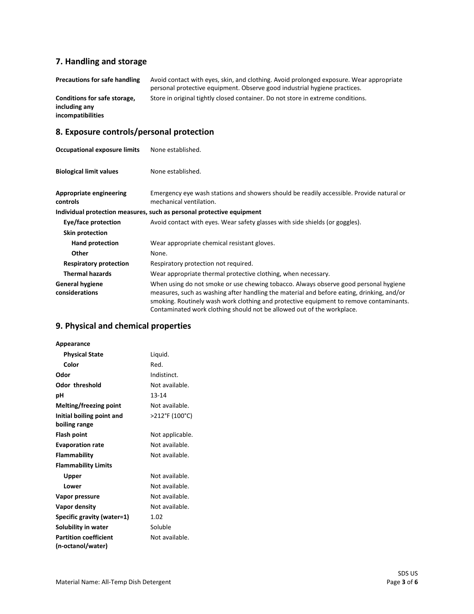### **7. Handling and storage**

| <b>Precautions for safe handling</b>                                      | Avoid contact with eyes, skin, and clothing. Avoid prolonged exposure. Wear appropriate<br>personal protective equipment. Observe good industrial hygiene practices. |
|---------------------------------------------------------------------------|----------------------------------------------------------------------------------------------------------------------------------------------------------------------|
| Conditions for safe storage,<br>including any<br><i>incompatibilities</i> | Store in original tightly closed container. Do not store in extreme conditions.                                                                                      |

## **8. Exposure controls/personal protection**

| <b>Occupational exposure limits</b>      | None established.                                                                                                                                                                                                                                                                                                                                     |
|------------------------------------------|-------------------------------------------------------------------------------------------------------------------------------------------------------------------------------------------------------------------------------------------------------------------------------------------------------------------------------------------------------|
| <b>Biological limit values</b>           | None established.                                                                                                                                                                                                                                                                                                                                     |
| Appropriate engineering<br>controls      | Emergency eye wash stations and showers should be readily accessible. Provide natural or<br>mechanical ventilation.                                                                                                                                                                                                                                   |
|                                          | Individual protection measures, such as personal protective equipment                                                                                                                                                                                                                                                                                 |
| Eye/face protection                      | Avoid contact with eyes. Wear safety glasses with side shields (or goggles).                                                                                                                                                                                                                                                                          |
| <b>Skin protection</b>                   |                                                                                                                                                                                                                                                                                                                                                       |
| Hand protection                          | Wear appropriate chemical resistant gloves.                                                                                                                                                                                                                                                                                                           |
| Other                                    | None.                                                                                                                                                                                                                                                                                                                                                 |
| <b>Respiratory protection</b>            | Respiratory protection not required.                                                                                                                                                                                                                                                                                                                  |
| <b>Thermal hazards</b>                   | Wear appropriate thermal protective clothing, when necessary.                                                                                                                                                                                                                                                                                         |
| <b>General hygiene</b><br>considerations | When using do not smoke or use chewing tobacco. Always observe good personal hygiene<br>measures, such as washing after handling the material and before eating, drinking, and/or<br>smoking. Routinely wash work clothing and protective equipment to remove contaminants.<br>Contaminated work clothing should not be allowed out of the workplace. |

## **9. Physical and chemical properties**

| Appearance                   |                 |
|------------------------------|-----------------|
| <b>Physical State</b>        | Liquid.         |
| Color                        | Red.            |
| Odor                         | Indistinct.     |
| Odor threshold               | Not available.  |
| рH                           | $13 - 14$       |
| Melting/freezing point       | Not available.  |
| Initial boiling point and    | >212°F (100°C)  |
| boiling range                |                 |
| Flash point                  | Not applicable. |
| <b>Evaporation rate</b>      | Not available.  |
| Flammability                 | Not available.  |
| <b>Flammability Limits</b>   |                 |
| Upper                        | Not available.  |
| Lower                        | Not available.  |
| Vapor pressure               | Not available.  |
| Vapor density                | Not available.  |
| Specific gravity (water=1)   | 1.02            |
| Solubility in water          | Soluble         |
| <b>Partition coefficient</b> | Not available.  |
| (n-octanol/water)            |                 |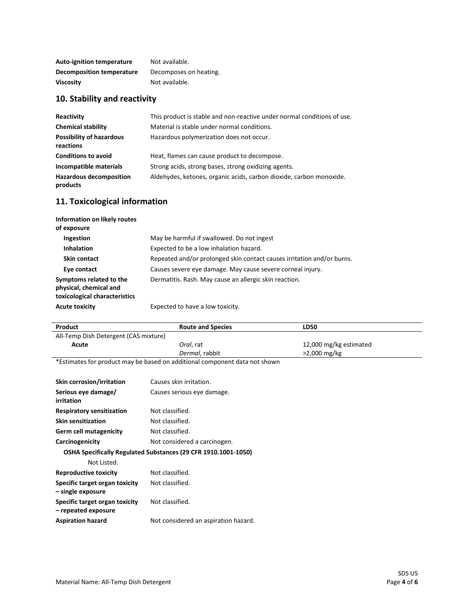| <b>Auto-ignition temperature</b> | Not available.         |
|----------------------------------|------------------------|
| <b>Decomposition temperature</b> | Decomposes on heating. |
| <b>Viscosity</b>                 | Not available.         |

## **10. Stability and reactivity**

| Reactivity                                   | This product is stable and non-reactive under normal conditions of use. |
|----------------------------------------------|-------------------------------------------------------------------------|
| <b>Chemical stability</b>                    | Material is stable under normal conditions.                             |
| <b>Possibility of hazardous</b><br>reactions | Hazardous polymerization does not occur.                                |
| <b>Conditions to avoid</b>                   | Heat, flames can cause product to decompose.                            |
| Incompatible materials                       | Strong acids, strong bases, strong oxidizing agents.                    |
| <b>Hazardous decomposition</b><br>products   | Aldehydes, ketones, organic acids, carbon dioxide, carbon monoxide.     |

## **11. Toxicological information**

| Information on likely routes<br>of exposure                                        |                                                                        |
|------------------------------------------------------------------------------------|------------------------------------------------------------------------|
| <b>Ingestion</b>                                                                   | May be harmful if swallowed. Do not ingest                             |
| <b>Inhalation</b>                                                                  | Expected to be a low inhalation hazard.                                |
| Skin contact                                                                       | Repeated and/or prolonged skin contact causes irritation and/or burns. |
| Eye contact                                                                        | Causes severe eye damage. May cause severe corneal injury.             |
| Symptoms related to the<br>physical, chemical and<br>toxicological characteristics | Dermatitis. Rash. May cause an allergic skin reaction.                 |
| <b>Acute toxicity</b>                                                              | Expected to have a low toxicity.                                       |

| Product                                                                    | <b>Route and Species</b>             | <b>LD50</b>            |
|----------------------------------------------------------------------------|--------------------------------------|------------------------|
| All-Temp Dish Detergent (CAS mixture)                                      |                                      |                        |
| Acute                                                                      | Oral, rat                            | 12,000 mg/kg estimated |
|                                                                            | Dermal, rabbit                       | >2,000 mg/kg           |
| *Estimates for product may be based on additional component data not shown |                                      |                        |
|                                                                            |                                      |                        |
| <b>Skin corrosion/irritation</b>                                           | Causes skin irritation.              |                        |
| Serious eye damage/                                                        | Causes serious eye damage.           |                        |
| irritation                                                                 |                                      |                        |
| <b>Respiratory sensitization</b>                                           | Not classified.                      |                        |
| <b>Skin sensitization</b>                                                  | Not classified.                      |                        |
| <b>Germ cell mutagenicity</b>                                              | Not classified.                      |                        |
| Carcinogenicity                                                            | Not considered a carcinogen.         |                        |
| OSHA Specifically Regulated Substances (29 CFR 1910.1001-1050)             |                                      |                        |
| Not Listed.                                                                |                                      |                        |
| <b>Reproductive toxicity</b>                                               | Not classified.                      |                        |
| Specific target organ toxicity                                             | Not classified.                      |                        |
| - single exposure                                                          |                                      |                        |
| Specific target organ toxicity                                             | Not classified.                      |                        |
| - repeated exposure                                                        |                                      |                        |
| <b>Aspiration hazard</b>                                                   | Not considered an aspiration hazard. |                        |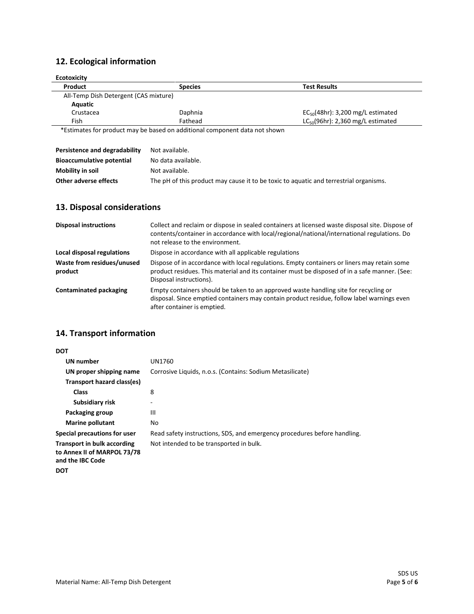# **12. Ecological information**

| <b>Ecotoxicity</b>                    |                                                                            |                                        |
|---------------------------------------|----------------------------------------------------------------------------|----------------------------------------|
| Product                               | <b>Species</b>                                                             | <b>Test Results</b>                    |
| All-Temp Dish Detergent (CAS mixture) |                                                                            |                                        |
| Aquatic                               |                                                                            |                                        |
| Crustacea                             | Daphnia                                                                    | $EC_{50}(48hr)$ : 3,200 mg/L estimated |
| Fish                                  | Fathead                                                                    | $LC_{50}(96hr)$ : 2,360 mg/L estimated |
|                                       | *Estimates for product may be based on additional component data not shown |                                        |

| Persistence and degradability    | Not available.                                                                        |
|----------------------------------|---------------------------------------------------------------------------------------|
| <b>Bioaccumulative potential</b> | No data available.                                                                    |
| Mobility in soil                 | Not available.                                                                        |
| Other adverse effects            | The pH of this product may cause it to be toxic to aquatic and terrestrial organisms. |

## **13. Disposal considerations**

| <b>Disposal instructions</b>          | Collect and reclaim or dispose in sealed containers at licensed waste disposal site. Dispose of<br>contents/container in accordance with local/regional/national/international regulations. Do<br>not release to the environment. |
|---------------------------------------|-----------------------------------------------------------------------------------------------------------------------------------------------------------------------------------------------------------------------------------|
| Local disposal regulations            | Dispose in accordance with all applicable regulations                                                                                                                                                                             |
| Waste from residues/unused<br>product | Dispose of in accordance with local regulations. Empty containers or liners may retain some<br>product residues. This material and its container must be disposed of in a safe manner. (See:<br>Disposal instructions).           |
| <b>Contaminated packaging</b>         | Empty containers should be taken to an approved waste handling site for recycling or<br>disposal. Since emptied containers may contain product residue, follow label warnings even<br>after container is emptied.                 |

### **14. Transport information**

| DOT                                                                                   |                                                                          |
|---------------------------------------------------------------------------------------|--------------------------------------------------------------------------|
| <b>UN number</b>                                                                      | UN1760                                                                   |
| UN proper shipping name                                                               | Corrosive Liquids, n.o.s. (Contains: Sodium Metasilicate)                |
| Transport hazard class(es)                                                            |                                                                          |
| <b>Class</b>                                                                          | 8                                                                        |
| Subsidiary risk                                                                       | ۰                                                                        |
| Packaging group                                                                       | Ш                                                                        |
| Marine pollutant                                                                      | No                                                                       |
| <b>Special precautions for user</b>                                                   | Read safety instructions, SDS, and emergency procedures before handling. |
| <b>Transport in bulk according</b><br>to Annex II of MARPOL 73/78<br>and the IBC Code | Not intended to be transported in bulk.                                  |
| DOT                                                                                   |                                                                          |